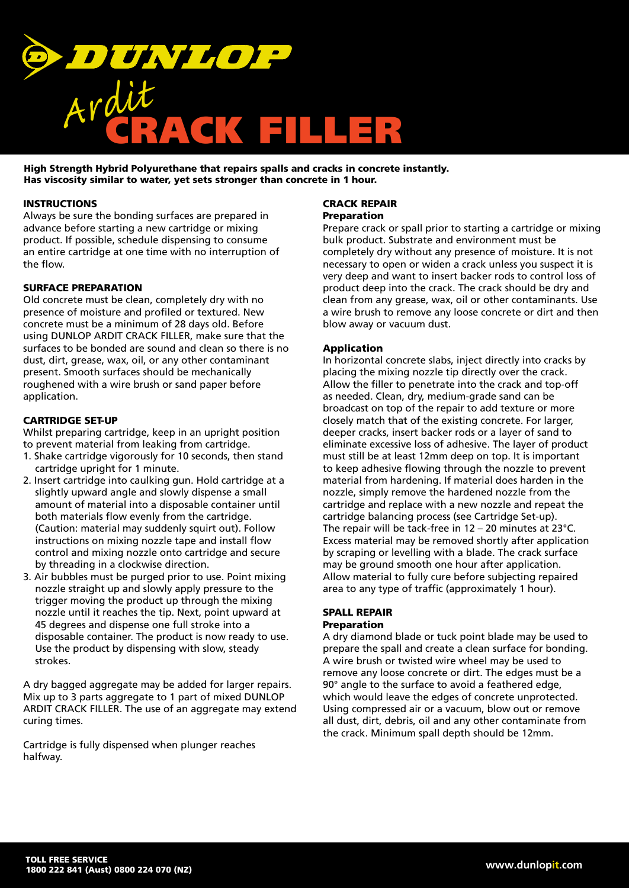

High Strength Hybrid Polyurethane that repairs spalls and cracks in concrete instantly. Has viscosity similar to water, yet sets stronger than concrete in 1 hour.

# **INSTRUCTIONS**

Always be sure the bonding surfaces are prepared in advance before starting a new cartridge or mixing product. If possible, schedule dispensing to consume an entire cartridge at one time with no interruption of the flow.

# SURFACE PREPARATION

Old concrete must be clean, completely dry with no presence of moisture and profiled or textured. New concrete must be a minimum of 28 days old. Before using DUNLOP ARDIT CRACK FILLER, make sure that the surfaces to be bonded are sound and clean so there is no dust, dirt, grease, wax, oil, or any other contaminant present. Smooth surfaces should be mechanically roughened with a wire brush or sand paper before application.

# CARTRIDGE SET-UP

Whilst preparing cartridge, keep in an upright position to prevent material from leaking from cartridge.

- 1. Shake cartridge vigorously for 10 seconds, then stand cartridge upright for 1 minute.
- 2. Insert cartridge into caulking gun. Hold cartridge at a slightly upward angle and slowly dispense a small amount of material into a disposable container until both materials flow evenly from the cartridge. (Caution: material may suddenly squirt out). Follow instructions on mixing nozzle tape and install flow control and mixing nozzle onto cartridge and secure by threading in a clockwise direction.
- 3. Air bubbles must be purged prior to use. Point mixing nozzle straight up and slowly apply pressure to the trigger moving the product up through the mixing nozzle until it reaches the tip. Next, point upward at 45 degrees and dispense one full stroke into a disposable container. The product is now ready to use. Use the product by dispensing with slow, steady strokes.

A dry bagged aggregate may be added for larger repairs. Mix up to 3 parts aggregate to 1 part of mixed DUNLOP ARDIT CRACK FILLER. The use of an aggregate may extend curing times.

Cartridge is fully dispensed when plunger reaches halfway.

# CRACK REPAIR

# Preparation

Prepare crack or spall prior to starting a cartridge or mixing bulk product. Substrate and environment must be completely dry without any presence of moisture. It is not necessary to open or widen a crack unless you suspect it is very deep and want to insert backer rods to control loss of product deep into the crack. The crack should be dry and clean from any grease, wax, oil or other contaminants. Use a wire brush to remove any loose concrete or dirt and then blow away or vacuum dust.

# Application

In horizontal concrete slabs, inject directly into cracks by placing the mixing nozzle tip directly over the crack. Allow the filler to penetrate into the crack and top-off as needed. Clean, dry, medium-grade sand can be broadcast on top of the repair to add texture or more closely match that of the existing concrete. For larger, deeper cracks, insert backer rods or a layer of sand to eliminate excessive loss of adhesive. The layer of product must still be at least 12mm deep on top. It is important to keep adhesive flowing through the nozzle to prevent material from hardening. If material does harden in the nozzle, simply remove the hardened nozzle from the cartridge and replace with a new nozzle and repeat the cartridge balancing process (see Cartridge Set-up). The repair will be tack-free in 12 – 20 minutes at 23°C. Excess material may be removed shortly after application by scraping or levelling with a blade. The crack surface may be ground smooth one hour after application. Allow material to fully cure before subjecting repaired area to any type of traffic (approximately 1 hour).

# SPALL REPAIR

# Preparation

A dry diamond blade or tuck point blade may be used to prepare the spall and create a clean surface for bonding. A wire brush or twisted wire wheel may be used to remove any loose concrete or dirt. The edges must be a 90° angle to the surface to avoid a feathered edge, which would leave the edges of concrete unprotected. Using compressed air or a vacuum, blow out or remove all dust, dirt, debris, oil and any other contaminate from the crack. Minimum spall depth should be 12mm.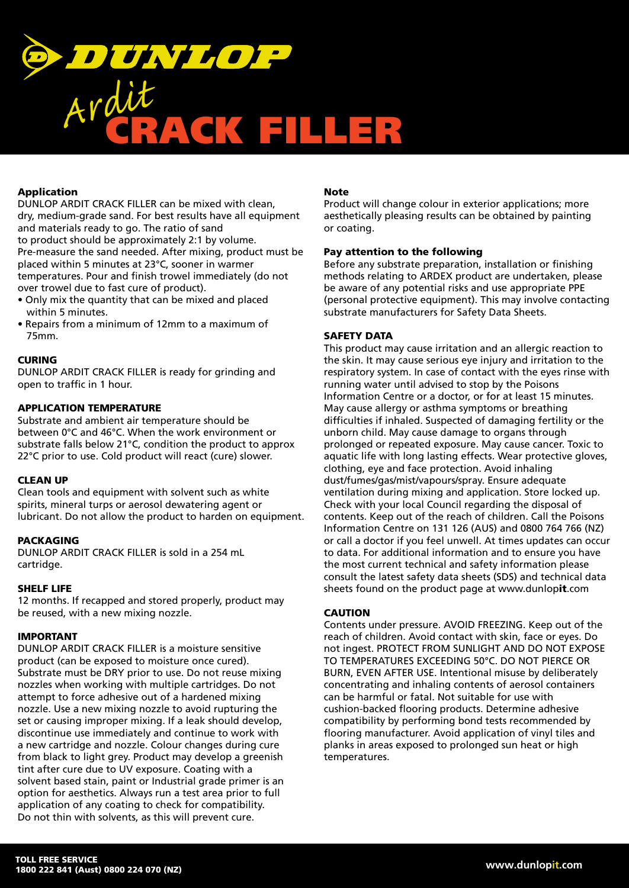

# Application

DUNLOP ARDIT CRACK FILLER can be mixed with clean, dry, medium-grade sand. For best results have all equipment and materials ready to go. The ratio of sand to product should be approximately 2:1 by volume. Pre-measure the sand needed. After mixing, product must be placed within 5 minutes at 23°C, sooner in warmer temperatures. Pour and finish trowel immediately (do not over trowel due to fast cure of product).

- Only mix the quantity that can be mixed and placed within 5 minutes.
- Repairs from a minimum of 12mm to a maximum of 75mm.

# **CURING**

DUNLOP ARDIT CRACK FILLER is ready for grinding and open to traffic in 1 hour.

#### APPLICATION TEMPERATURE

Substrate and ambient air temperature should be between 0°C and 46°C. When the work environment or substrate falls below 21°C, condition the product to approx 22°C prior to use. Cold product will react (cure) slower.

#### CLEAN UP

Clean tools and equipment with solvent such as white spirits, mineral turps or aerosol dewatering agent or lubricant. Do not allow the product to harden on equipment.

#### **PACKAGING**

DUNLOP ARDIT CRACK FILLER is sold in a 254 mL cartridge.

#### SHELF LIFE

12 months. If recapped and stored properly, product may be reused, with a new mixing nozzle.

#### IMPORTANT

DUNLOP ARDIT CRACK FILLER is a moisture sensitive product (can be exposed to moisture once cured). Substrate must be DRY prior to use. Do not reuse mixing nozzles when working with multiple cartridges. Do not attempt to force adhesive out of a hardened mixing nozzle. Use a new mixing nozzle to avoid rupturing the set or causing improper mixing. If a leak should develop, discontinue use immediately and continue to work with a new cartridge and nozzle. Colour changes during cure from black to light grey. Product may develop a greenish tint after cure due to UV exposure. Coating with a solvent based stain, paint or Industrial grade primer is an option for aesthetics. Always run a test area prior to full application of any coating to check for compatibility. Do not thin with solvents, as this will prevent cure.

#### **Note**

Product will change colour in exterior applications; more aesthetically pleasing results can be obtained by painting or coating.

#### Pay attention to the following

Before any substrate preparation, installation or finishing methods relating to ARDEX product are undertaken, please be aware of any potential risks and use appropriate PPE (personal protective equipment). This may involve contacting substrate manufacturers for Safety Data Sheets.

#### SAFETY DATA

This product may cause irritation and an allergic reaction to the skin. It may cause serious eye injury and irritation to the respiratory system. In case of contact with the eyes rinse with running water until advised to stop by the Poisons Information Centre or a doctor, or for at least 15 minutes. May cause allergy or asthma symptoms or breathing difficulties if inhaled. Suspected of damaging fertility or the unborn child. May cause damage to organs through prolonged or repeated exposure. May cause cancer. Toxic to aquatic life with long lasting effects. Wear protective gloves, clothing, eye and face protection. Avoid inhaling dust/fumes/gas/mist/vapours/spray. Ensure adequate ventilation during mixing and application. Store locked up. Check with your local Council regarding the disposal of contents. Keep out of the reach of children. Call the Poisons Information Centre on 131 126 (AUS) and 0800 764 766 (NZ) or call a doctor if you feel unwell. At times updates can occur to data. For additional information and to ensure you have the most current technical and safety information please consult the latest safety data sheets (SDS) and technical data sheets found on the product page at www.dunlopit.com

# CAUTION

Contents under pressure. AVOID FREEZING. Keep out of the reach of children. Avoid contact with skin, face or eyes. Do not ingest. PROTECT FROM SUNLIGHT AND DO NOT EXPOSE TO TEMPERATURES EXCEEDING 50°C. DO NOT PIERCE OR BURN, EVEN AFTER USE. Intentional misuse by deliberately concentrating and inhaling contents of aerosol containers can be harmful or fatal. Not suitable for use with cushion-backed flooring products. Determine adhesive compatibility by performing bond tests recommended by flooring manufacturer. Avoid application of vinyl tiles and planks in areas exposed to prolonged sun heat or high temperatures.